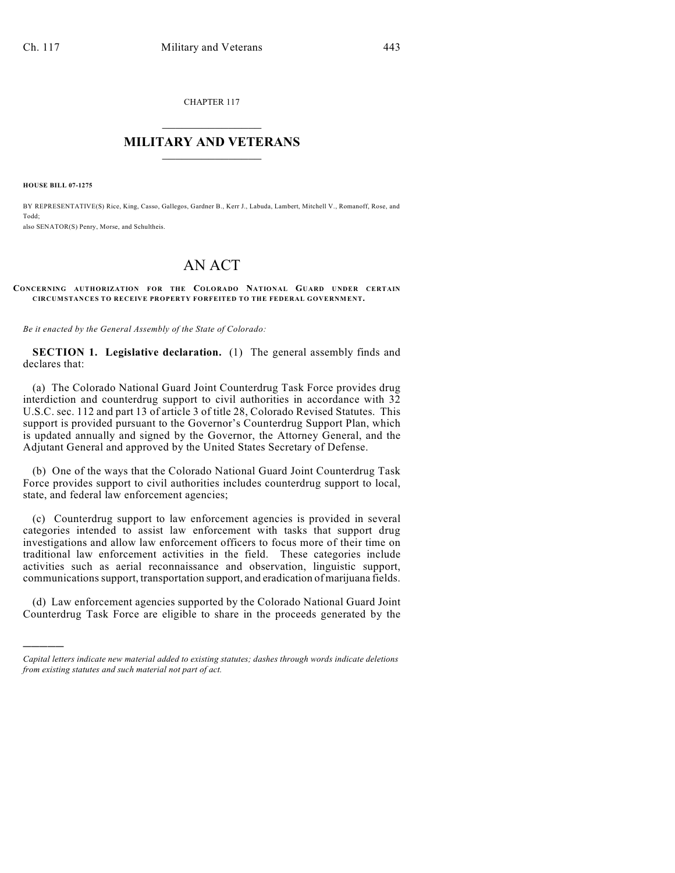CHAPTER 117  $\mathcal{L}_\text{max}$  . The set of the set of the set of the set of the set of the set of the set of the set of the set of the set of the set of the set of the set of the set of the set of the set of the set of the set of the set

## **MILITARY AND VETERANS**  $\_$

**HOUSE BILL 07-1275**

)))))

BY REPRESENTATIVE(S) Rice, King, Casso, Gallegos, Gardner B., Kerr J., Labuda, Lambert, Mitchell V., Romanoff, Rose, and Todd;

also SENATOR(S) Penry, Morse, and Schultheis.

## AN ACT

## **CONCERNING AUTHORIZATION FOR THE COLORADO NATIONAL GUARD UNDER CERTAIN CIRCUMSTANCES TO RECEIVE PROPERTY FORFEITED TO THE FEDERAL GOVERNMENT.**

*Be it enacted by the General Assembly of the State of Colorado:*

**SECTION 1. Legislative declaration.** (1) The general assembly finds and declares that:

(a) The Colorado National Guard Joint Counterdrug Task Force provides drug interdiction and counterdrug support to civil authorities in accordance with 32 U.S.C. sec. 112 and part 13 of article 3 of title 28, Colorado Revised Statutes. This support is provided pursuant to the Governor's Counterdrug Support Plan, which is updated annually and signed by the Governor, the Attorney General, and the Adjutant General and approved by the United States Secretary of Defense.

(b) One of the ways that the Colorado National Guard Joint Counterdrug Task Force provides support to civil authorities includes counterdrug support to local, state, and federal law enforcement agencies;

(c) Counterdrug support to law enforcement agencies is provided in several categories intended to assist law enforcement with tasks that support drug investigations and allow law enforcement officers to focus more of their time on traditional law enforcement activities in the field. These categories include activities such as aerial reconnaissance and observation, linguistic support, communications support, transportation support, and eradication of marijuana fields.

(d) Law enforcement agencies supported by the Colorado National Guard Joint Counterdrug Task Force are eligible to share in the proceeds generated by the

*Capital letters indicate new material added to existing statutes; dashes through words indicate deletions from existing statutes and such material not part of act.*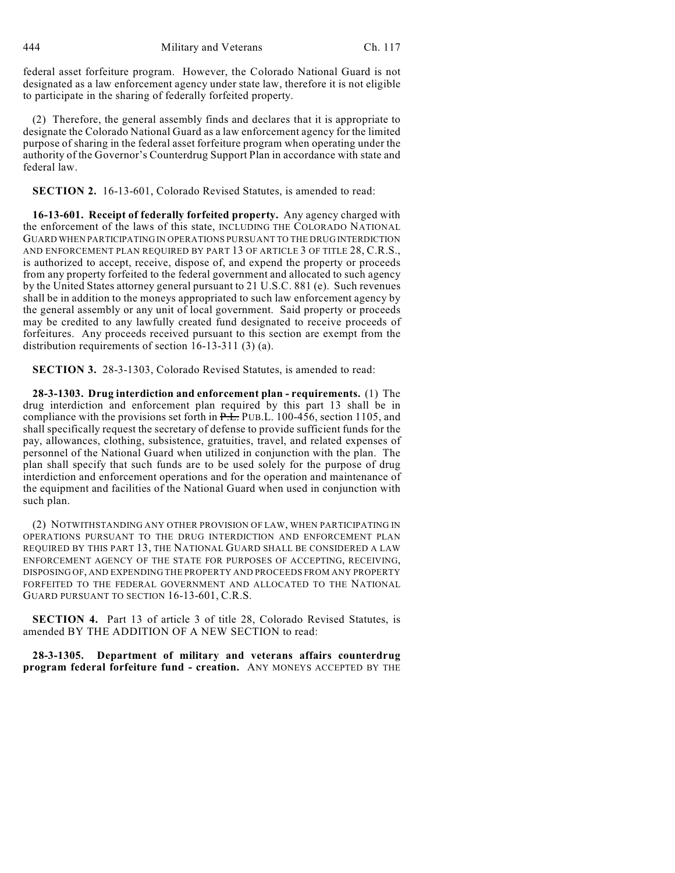federal asset forfeiture program. However, the Colorado National Guard is not designated as a law enforcement agency under state law, therefore it is not eligible to participate in the sharing of federally forfeited property.

(2) Therefore, the general assembly finds and declares that it is appropriate to designate the Colorado National Guard as a law enforcement agency for the limited purpose of sharing in the federal asset forfeiture program when operating under the authority of the Governor's Counterdrug Support Plan in accordance with state and federal law.

**SECTION 2.** 16-13-601, Colorado Revised Statutes, is amended to read:

**16-13-601. Receipt of federally forfeited property.** Any agency charged with the enforcement of the laws of this state, INCLUDING THE COLORADO NATIONAL GUARD WHEN PARTICIPATING IN OPERATIONS PURSUANT TO THE DRUG INTERDICTION AND ENFORCEMENT PLAN REQUIRED BY PART 13 OF ARTICLE 3 OF TITLE 28, C.R.S., is authorized to accept, receive, dispose of, and expend the property or proceeds from any property forfeited to the federal government and allocated to such agency by the United States attorney general pursuant to 21 U.S.C. 881 (e). Such revenues shall be in addition to the moneys appropriated to such law enforcement agency by the general assembly or any unit of local government. Said property or proceeds may be credited to any lawfully created fund designated to receive proceeds of forfeitures. Any proceeds received pursuant to this section are exempt from the distribution requirements of section 16-13-311 (3) (a).

**SECTION 3.** 28-3-1303, Colorado Revised Statutes, is amended to read:

**28-3-1303. Drug interdiction and enforcement plan - requirements.** (1) The drug interdiction and enforcement plan required by this part 13 shall be in compliance with the provisions set forth in P.L. PUB.L. 100-456, section 1105, and shall specifically request the secretary of defense to provide sufficient funds for the pay, allowances, clothing, subsistence, gratuities, travel, and related expenses of personnel of the National Guard when utilized in conjunction with the plan. The plan shall specify that such funds are to be used solely for the purpose of drug interdiction and enforcement operations and for the operation and maintenance of the equipment and facilities of the National Guard when used in conjunction with such plan.

(2) NOTWITHSTANDING ANY OTHER PROVISION OF LAW, WHEN PARTICIPATING IN OPERATIONS PURSUANT TO THE DRUG INTERDICTION AND ENFORCEMENT PLAN REQUIRED BY THIS PART 13, THE NATIONAL GUARD SHALL BE CONSIDERED A LAW ENFORCEMENT AGENCY OF THE STATE FOR PURPOSES OF ACCEPTING, RECEIVING, DISPOSING OF, AND EXPENDING THE PROPERTY AND PROCEEDS FROM ANY PROPERTY FORFEITED TO THE FEDERAL GOVERNMENT AND ALLOCATED TO THE NATIONAL GUARD PURSUANT TO SECTION 16-13-601, C.R.S.

**SECTION 4.** Part 13 of article 3 of title 28, Colorado Revised Statutes, is amended BY THE ADDITION OF A NEW SECTION to read:

**28-3-1305. Department of military and veterans affairs counterdrug program federal forfeiture fund - creation.** ANY MONEYS ACCEPTED BY THE